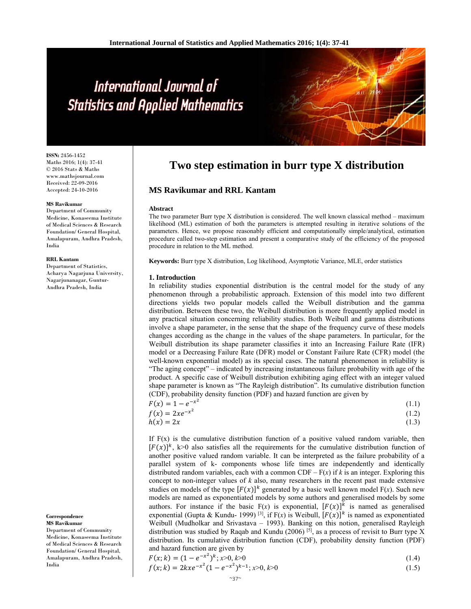# International Journal of **Statistics and Applied Mathematics**

**ISSN:** 2456-1452 Maths 2016; 1(4): 37-41 © 2016 Stats & Maths www.mathsjournal.com Received: 22-09-2016 Accepted: 24-10-2016

#### **MS Ravikumar**

Department of Community Medicine, Konaseema Institute of Medical Sciences & Research Foundation/ General Hospital, Amalapuram, Andhra Pradesh, India

#### **RRL Kantam**

Department of Statistics, Acharya Nagarjuna University, Nagarjunanagar, Guntur-Andhra Pradesh, India

**Correspondence MS Ravikumar**

Department of Community Medicine, Konaseema Institute of Medical Sciences & Research Foundation/ General Hospital, Amalapuram, Andhra Pradesh, India

# **Two step estimation in burr type X distribution**

# **MS Ravikumar and RRL Kantam**

#### **Abstract**

The two parameter Burr type X distribution is considered. The well known classical method – maximum likelihood (ML) estimation of both the parameters is attempted resulting in iterative solutions of the parameters. Hence, we propose reasonably efficient and computationally simple/analytical, estimation procedure called two-step estimation and present a comparative study of the efficiency of the proposed procedure in relation to the ML method.

**Keywords:** Burr type X distribution, Log likelihood, Asymptotic Variance, MLE, order statistics

#### **1. Introduction**

In reliability studies exponential distribution is the central model for the study of any phenomenon through a probabilistic approach. Extension of this model into two different directions yields two popular models called the Weibull distribution and the gamma distribution. Between these two, the Weibull distribution is more frequently applied model in any practical situation concerning reliability studies. Both Weibull and gamma distributions involve a shape parameter, in the sense that the shape of the frequency curve of these models changes according as the change in the values of the shape parameters. In particular, for the Weibull distribution its shape parameter classifies it into an Increasing Failure Rate (IFR) model or a Decreasing Failure Rate (DFR) model or Constant Failure Rate (CFR) model (the well-known exponential model) as its special cases. The natural phenomenon in reliability is "The aging concept" – indicated by increasing instantaneous failure probability with age of the product. A specific case of Weibull distribution exhibiting aging effect with an integer valued shape parameter is known as "The Rayleigh distribution". Its cumulative distribution function (CDF), probability density function (PDF) and hazard function are given by

| $F(x) = 1 - e^{-x^2}$ | (1.1) |
|-----------------------|-------|
| $f(x) = 2xe^{-x^2}$   | (1.2) |

$$
h(x) = 2x \tag{1.3}
$$

If  $F(x)$  is the cumulative distribution function of a positive valued random variable, then  $[F(x)]^k$ , k>0 also satisfies all the requirements for the cumulative distribution function of another positive valued random variable. It can be interpreted as the failure probability of a parallel system of k- components whose life times are independently and identically distributed random variables, each with a common  $CDF - F(x)$  if *k* is an integer. Exploring this concept to non-integer values of *k* also, many researchers in the recent past made extensive studies on models of the type  $[F(x)]^k$  generated by a basic well known model  $F(x)$ . Such new models are named as exponentiated models by some authors and generalised models by some authors. For instance if the basic F(x) is exponential,  $[F(x)]^k$  is named as generalised exponential (Gupta & Kundu- 1999)<sup>[3]</sup>, if  $F(x)$  is Weibull,  $[F(x)]^k$  is named as exponentiated Weibull (Mudholkar and Srivastava – 1993). Banking on this notion, generalised Rayleigh distribution was studied by Raqab and Kundu (2006) <sup>[5]</sup>, as a process of revisit to Burr type X distribution. Its cumulative distribution function (CDF), probability density function (PDF) and hazard function are given by

$$
F(x;k) = (1 - e^{-x^2})^k; x > 0, k > 0
$$
  
\n
$$
f(x;k) = 2kxe^{-x^2}(1 - e^{-x^2})^{k-1}; x > 0, k > 0
$$
\n(1.5)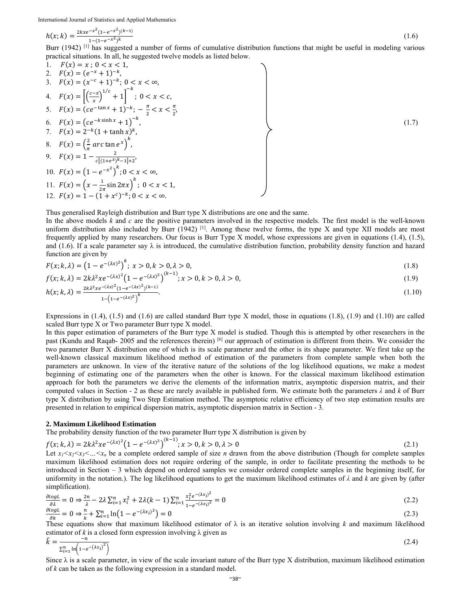International Journal of Statistics and Applied Mathematics

$$
h(x;k) = \frac{2kxe^{-x^2}(1-e^{-x^2})^{(k-1)}}{1-(1-e^{-x^2})^k}
$$
(1.6)

Burr (1942) <sup>[1]</sup> has suggested a number of forms of cumulative distribution functions that might be useful in modeling various practical situations. In all, he suggested twelve models as listed below.

1. 
$$
F(x) = x
$$
;  $0 < x < 1$ ,  
\n2.  $F(x) = (e^{-x} + 1)^{-k}$ ,  
\n3.  $F(x) = (x^{-c} + 1)^{-k}$ ;  $0 < x < \infty$ ,  
\n4.  $F(x) = \left[\left(\frac{c-x}{x}\right)^{1/c} + 1\right]^{-k}$ ;  $0 < x < c$ ,  
\n5.  $F(x) = (ce^{-\tan x} + 1)^{-k}$ ;  $0 < x < c$ ,  
\n6.  $F(x) = (ce^{-\tan x} + 1)^{-k}$ ,  $-\frac{\pi}{2} < x < \frac{\pi}{2}$ ,  
\n6.  $F(x) = (ce^{-k \sinh x} + 1)^{-k}$ ,  
\n7.  $F(x) = 2^{-k}(1 + \tanh x)^k$ ,  
\n8.  $F(x) = \left(\frac{2}{\pi} \arctan e^x\right)^k$ ,  
\n9.  $F(x) = 1 - \frac{2}{c[(1 + e^x)^{k} - 1] + 2}$ ,  
\n10.  $F(x) = (1 - e^{-x^2})^k$ ;  $0 < x < \infty$ ,  
\n11.  $F(x) = \left(x - \frac{1}{2\pi} \sin 2\pi x\right)^k$ ;  $0 < x < 1$ ,  
\n12.  $F(x) = 1 - (1 + x^c)^{-k}$ ;  $0 < x < \infty$ .

Thus generalised Rayleigh distribution and Burr type X distributions are one and the same.

In the above models *k* and *c* are the positive parameters involved in the respective models. The first model is the well-known uniform distribution also included by Burr (1942)  $^{[1]}$ . Among these twelve forms, the type X and type XII models are most frequently applied by many researchers. Our focus is Burr Type X model, whose expressions are given in equations (1.4), (1.5), and (1.6). If a scale parameter say  $\lambda$  is introduced, the cumulative distribution function, probability density function and hazard function are given by

$$
F(x; k, \lambda) = (1 - e^{-(\lambda x)^2})^k; \ x > 0, k > 0, \lambda > 0,
$$
\n(1.8)

$$
f(x; k, \lambda) = 2k\lambda^2 x e^{-(\lambda x)^2} \left(1 - e^{-(\lambda x)^2}\right)^{(k-1)}; x > 0, k > 0, \lambda > 0,
$$
\n(1.9)

$$
h(x; k, \lambda) = \frac{2k\lambda^2 x e^{-(\lambda x)^2} (1 - e^{-(\lambda x)^2})^{(k-1)}}{1 - (1 - e^{-(\lambda x)^2})^k}.
$$
\n(1.10)

Expressions in  $(1.4)$ ,  $(1.5)$  and  $(1.6)$  are called standard Burr type X model, those in equations  $(1.8)$ ,  $(1.9)$  and  $(1.10)$  are called scaled Burr type X or Two parameter Burr type X model.

In this paper estimation of parameters of the Burr type X model is studied. Though this is attempted by other researchers in the past (Kundu and Raqab- 2005 and the references therein) [6] our approach of estimation is different from theirs. We consider the two parameter Burr X distribution one of which is its scale parameter and the other is its shape parameter. We first take up the well-known classical maximum likelihood method of estimation of the parameters from complete sample when both the parameters are unknown. In view of the iterative nature of the solutions of the log likelihood equations, we make a modest beginning of estimating one of the parameters when the other is known. For the classical maximum likelihood estimation approach for both the parameters we derive the elements of the information matrix, asymptotic dispersion matrix, and their computed values in Section - 2 as these are rarely available in published form. We estimate both the parameters *λ* and *k* of Burr type X distribution by using Two Step Estimation method. The asymptotic relative efficiency of two step estimation results are presented in relation to empirical dispersion matrix, asymptotic dispersion matrix in Section - 3.

#### **2. Maximum Likelihood Estimation**

The probability density function of the two parameter Burr type X distribution is given by

$$
f(x; k, \lambda) = 2k\lambda^2 x e^{-(\lambda x)^2} \left(1 - e^{-(\lambda x)^2}\right)^{(k-1)}; x > 0, k > 0, \lambda > 0
$$
\n(2.1)

Let  $x_1 < x_2 < x_3 < ... < x_n$  be a complete ordered sample of size *n* drawn from the above distribution (Though for complete samples maximum likelihood estimation does not require ordering of the sample, in order to facilitate presenting the methods to be introduced in Section – 3 which depend on ordered samples we consider ordered complete samples in the beginning itself, for uniformity in the notation.). The log likelihood equations to get the maximum likelihood estimates of  $\lambda$  and  $k$  are given by (after simplification).

$$
\frac{\partial \log L}{\partial \lambda} = 0 \Rightarrow \frac{2n}{\lambda} - 2\lambda \sum_{i=1}^{n} x_i^2 + 2\lambda (k-1) \sum_{i=1}^{n} \frac{x_i^2 e^{-(\lambda x_i)^2}}{1 - e^{-(\lambda x_i)^2}} = 0
$$
\n(2.2)

$$
\frac{\partial \log L}{\partial k} = 0 \Rightarrow \frac{n}{k} + \sum_{i=1}^{n} \ln \left( 1 - e^{-(\lambda x_i)^2} \right) = 0 \tag{2.3}
$$

These equations show that maximum likelihood estimator of  $\lambda$  is an iterative solution involving *k* and maximum likelihood estimator of  $k$  is a closed form expression involving  $\lambda$  given as

$$
\hat{k} = \frac{-n}{\sum_{i=1}^{n} \ln(1 - e^{-(\lambda x_i)^2})}
$$
(2.4)

Since  $\lambda$  is a scale parameter, in view of the scale invariant nature of the Burr type X distribution, maximum likelihood estimation of *k* can be taken as the following expression in a standard model.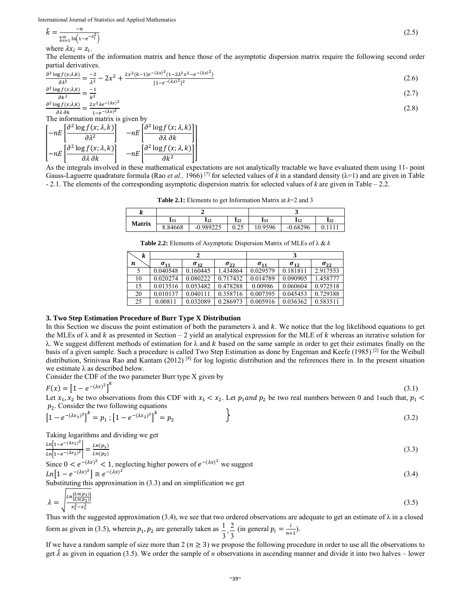$$
\hat{k} = \frac{-n}{\sum_{i=1}^{n} \ln(1 - e^{-z_i^2})} \tag{2.5}
$$

where  $\lambda x_i = z_i$ .

The elements of the information matrix and hence those of the asymptotic dispersion matrix require the following second order partial derivatives.

$$
\frac{\partial^2 \log f(x;\lambda,k)}{\partial \lambda^2} = \frac{-2}{\lambda^2} - 2x^2 + \frac{2x^2(k-1)e^{-(\lambda x)^2}(1-2\lambda^2 x^2 - e^{-(\lambda x)^2})}{[1-e^{-(\lambda x)^2}]^2}
$$
(2.6)

$$
\frac{\partial^2 \log f(x;\lambda,k)}{\partial k^2} = \frac{-1}{k^2} \tag{2.7}
$$
\n
$$
\frac{\partial^2 \log f(x;\lambda,k)}{\partial k^2} = \frac{-1}{2k^2} \tag{2.8}
$$

$$
\frac{\partial^2 \log f(x;\lambda,k)}{\partial \lambda \partial k} = \frac{2x^2 \lambda e^{-(\lambda x)^2}}{1 - e^{-(\lambda x)^2}}
$$
(2.8)

$$
\begin{bmatrix}\n-mE \left[ \frac{\partial^2 \log f(x; \lambda, k)}{\partial \lambda^2} \right] & -nE \left[ \frac{\partial^2 \log f(x; \lambda, k)}{\partial \lambda \partial k} \right] \\
-nE \left[ \frac{\partial^2 \log f(x; \lambda, k)}{\partial \lambda \partial k} \right] & -nE \left[ \frac{\partial^2 \log f(x; \lambda, k)}{\partial k^2} \right]\n\end{bmatrix}
$$

As the integrals involved in these mathematical expectations are not analytically tractable we have evaluated them using 11- point Gauss-Laguerre quadrature formula (Rao *et al.*, 1966)<sup>[7]</sup> for selected values of *k* in a standard density ( $\lambda$ =1) and are given in Table - 2.1. The elements of the corresponding asymptotic dispersion matrix for selected values of *k* are given in Table – 2.2.

**Table 2.1:** Elements to get Information Matrix at *k*=2 and 3

| n             |         |             |                 |         |            |                 |
|---------------|---------|-------------|-----------------|---------|------------|-----------------|
|               |         | 112         | $\mathbf{I}$ 22 |         | 112        | $\mathbf{I}$ 22 |
| <b>Matrix</b> | 8.84668 | $-0.989225$ | 0.25            | 10.9596 | $-0.68296$ | 0.1111          |

**Table 2.2:** Elements of Asymptotic Dispersion Matrix of MLEs of λ & *k* 

| k  |               | 2             |               | 3             |               |               |
|----|---------------|---------------|---------------|---------------|---------------|---------------|
| n  | $\sigma_{11}$ | $\sigma_{12}$ | $\sigma_{22}$ | $\sigma_{11}$ | $\sigma_{12}$ | $\sigma_{22}$ |
|    | 0.040548      | 0.160445      | 1.434864      | 0.029579      | 0.181811      | 2.917553      |
| 10 | 0.020274      | 0.080222      | 0.717432      | 0.014789      | 0.090905      | 1.458777      |
| 15 | 0.013516      | 0.053482      | 0.478288      | 0.00986       | 0.060604      | 0.972518      |
| 20 | 0.010137      | 0.040111      | 0.358716      | 0.007395      | 0.045453      | 0.729388      |
| 25 | 0.00811       | 0.032089      | 0.286973      | 0.005916      | 0.036362      | 0.583511      |

### **3. Two Step Estimation Procedure of Burr Type X Distribution**

In this Section we discuss the point estimation of both the parameters  $\lambda$  and k. We notice that the log likelihood equations to get the MLEs of  $\lambda$  and  $k$  as presented in Section – 2 yield an analytical expression for the MLE of  $k$  whereas an iterative solution for  $λ$ . We suggest different methods of estimation for  $λ$  and  $k$  based on the same sample in order to get their estimates finally on the basis of a given sample. Such a procedure is called Two Step Estimation as done by Engeman and Keefe (1985) [2] for the Weibull distribution, Srinivasa Rao and Kantam (2012)<sup>[8]</sup> for log logistic distribution and the references there in. In the present situation we estimate  $\lambda$  as described below.

Consider the CDF of the two parameter Burr type X given by

$$
F(x) = \left[1 - e^{-(\lambda x)^2}\right]^k
$$

Let  $x_1, x_2$  be two observations from this CDF with  $x_1 < x_2$ . Let  $p_1$  and  $p_2$  be two real numbers between 0 and 1such that,  $p_1$  $p_2$ . Consider the two following equations

 $(3.1)$ 

$$
\left[1 - e^{-(\lambda x_1)^2}\right]^k = p_1 ; \left[1 - e^{-(\lambda x_2)^2}\right]^k = p_2
$$
\n(3.2)

Taking logarithms and dividing we get

$$
\frac{\ln[1 - e^{-(\lambda x_1)^2}]}{\ln[1 - e^{-(\lambda x_2)^2}]} = \frac{\ln(p_1)}{\ln(p_2)}\tag{3.3}
$$

Since  $0 < e^{-(\lambda x)^2} < 1$ , neglecting higher powers of  $e^{-(\lambda x)^2}$  we suggest  $Ln[1 - e^{-(\lambda x)^2}] \cong e^{-(\lambda x)^2}$  $(3.4)$ 

Substituting this approximation in (3.3) and on simplification we get

$$
\lambda = \sqrt{\frac{\ln\left[\frac{\ln(p_1)}{\ln(p_2)}\right]}{x_2^2 - x_1^2}}\tag{3.5}
$$

Thus with the suggested approximation (3.4), we see that two ordered observations are adequate to get an estimate of  $\lambda$  in a closed form as given in (3.5), wherein  $p_1$ ,  $p_2$  are generally taken as  $\frac{1}{3}$ ,  $\frac{2}{3}$  $\frac{1}{3}, \frac{2}{3}$  $\frac{1}{2}$ ,  $\frac{2}{3}$  (in general  $p_i = \frac{i}{n+1}$ ).

If we have a random sample of size more than  $2 (n \ge 3)$  we propose the following procedure in order to use all the observations to get  $\hat{\lambda}$  as given in equation (3.5). We order the sample of *n* observations in ascending manner and divide it into two halves – lower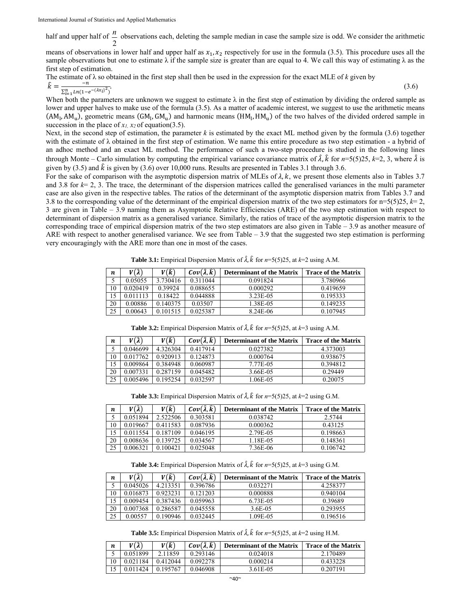half and upper half of 2  $\frac{n}{n}$  observations each, deleting the sample median in case the sample size is odd. We consider the arithmetic

means of observations in lower half and upper half as  $x_1, x_2$  respectively for use in the formula (3.5). This procedure uses all the sample observations but one to estimate  $\lambda$  if the sample size is greater than are equal to 4. We call this way of estimating  $\lambda$  as the first step of estimation.

The estimate of 
$$
\lambda
$$
 so obtained in the first step shall then be used in the expression for the exact MLE of *k* given by  
\n
$$
\hat{k} = \frac{-n}{\sum_{i=1}^{n} Ln(1 - e^{-(\lambda x_i)^2})}.
$$
\n(3.6)

When both the parameters are unknown we suggest to estimate  $\lambda$  in the first step of estimation by dividing the ordered sample as lower and upper halves to make use of the formula (3.5). As a matter of academic interest, we suggest to use the arithmetic means  $(AM_1, AM_1)$ , geometric means  $(GM_1, GM_1)$  and harmonic means  $(HM_1, HM_1)$  of the two halves of the divided ordered sample in succession in the place of  $x_1$ ,  $x_2$  of equation(3.5).

Next, in the second step of estimation, the parameter  $k$  is estimated by the exact ML method given by the formula  $(3.6)$  together with the estimate of λ obtained in the first step of estimation. We name this entire procedure as two step estimation - a hybrid of an adhoc method and an exact ML method. The performance of such a two-step procedure is studied in the following lines through Monte – Carlo simulation by computing the empirical variance covariance matrix of  $\hat{\lambda}$ ,  $\hat{k}$  for  $n=5(5)25$ ,  $k=2, 3$ , where  $\hat{\lambda}$  is given by (3.5) and  $\hat{k}$  is given by (3.6) over 10,000 runs. Results are presented in Tables 3.1 through 3.6.

For the sake of comparison with the asymptotic dispersion matrix of MLEs of  $\lambda$ ,  $k$ , we present those elements also in Tables 3.7 and 3.8 for  $k=2, 3$ . The trace, the determinant of the dispersion matrices called the generalised variances in the multi parameter case are also given in the respective tables. The ratios of the determinant of the asymptotic dispersion matrix from Tables 3.7 and 3.8 to the corresponding value of the determinant of the empirical dispersion matrix of the two step estimators for  $n=5(5)25$ ,  $k=2$ , 3 are given in Table – 3.9 naming them as Asymptotic Relative Efficiencies (ARE) of the two step estimation with respect to determinant of dispersion matrix as a generalised variance. Similarly, the ratios of trace of the asymptotic dispersion matrix to the corresponding trace of empirical dispersion matrix of the two step estimators are also given in Table – 3.9 as another measure of ARE with respect to another generalised variance. We see from Table – 3.9 that the suggested two step estimation is performing very encouragingly with the ARE more than one in most of the cases.

**Table 3.1:** Empirical Dispersion Matrix of  $\hat{\lambda}$ ,  $\hat{k}$  for  $n=5(5)25$ , at  $k=2$  using A.M.

| n  | $V(\hat{\lambda})$ | $V(\widehat{k})$ | $Cov(\hat{\lambda}, \hat{k})$ | <b>Determinant of the Matrix</b> | <b>Trace of the Matrix</b> |
|----|--------------------|------------------|-------------------------------|----------------------------------|----------------------------|
|    | 0.05055            | 3.730416         | 0.311044                      | 0.091824                         | 3.780966                   |
| 10 | 0.020419           | 0.39924          | 0.088655                      | 0.000292                         | 0.419659                   |
| 15 | 0 011113           | 0.18422          | 0.044888                      | 3.23E-05                         | 0.195333                   |
| 20 | 0.00886            | 0.140375         | 0.03507                       | 1.38E-05                         | 0.149235                   |
| 25 | 0.00643            | 0.101515         | 0.025387                      | 8.24E-06                         | 0.107945                   |

| n  | $V(\hat{\lambda})$ | $V(\widehat{k})$ | $Cov(\hat{\lambda}, \hat{k})$ | <b>Determinant of the Matrix</b> | <b>Trace of the Matrix</b> |
|----|--------------------|------------------|-------------------------------|----------------------------------|----------------------------|
|    | 0.046699           | 4.326304         | 0.417914                      | 0.027382                         | 4.373003                   |
| 10 | 0.017762           | 0.920913         | 0.124873                      | 0.000764                         | 0.938675                   |
| 15 | 0.009864           | 0.384948         | 0.060987                      | 7.77E-05                         | 0.394812                   |
| 20 | 0.007331           | 0.287159         | 0.045482                      | 3.66E-05                         | 0.29449                    |
| 25 | 0.005496           | 0.195254         | 0.032597                      | 1.06E-05                         | 0.20075                    |

**Table 3.2:** Empirical Dispersion Matrix of  $\hat{\lambda}$ ,  $\hat{k}$  for  $n=5(5)25$ , at  $k=3$  using A.M.

**Table 3.3:** Empirical Dispersion Matrix of  $\hat{\lambda}$ ,  $\hat{k}$  for  $n=5(5)25$ , at  $k=2$  using G.M.

| $\boldsymbol{n}$ | $V(\hat{\lambda})$ | $V(\widehat{k})$ | $Cov(\hat{\lambda}, \hat{k})$ | <b>Determinant of the Matrix</b> | <b>Trace of the Matrix</b> |
|------------------|--------------------|------------------|-------------------------------|----------------------------------|----------------------------|
|                  | 0.051894           | 2.522506         | 0.303581                      | 0.038742                         | 2.5744                     |
| 10               | 0.019667           | 0.411583         | 0.087936                      | 0.000362                         | 0.43125                    |
| 15               | 0.011554           | 0.187109         | 0.046195                      | 2.79E-05                         | 0.198663                   |
| 20               | 0.008636           | 0.139725         | 0.034567                      | 1.18E-05                         | 0.148361                   |
| 25               | 0.006321           | 0.100421         | 0.025048                      | 7.36E-06                         | 0.106742                   |

**Table 3.4:** Empirical Dispersion Matrix of  $\hat{\lambda}$ ,  $\hat{k}$  for  $n=5(5)25$ , at  $k=3$  using G.M.

| n  | $V(\hat{\lambda})$ | $V(\widehat{k})$ | $Cov(\hat{\lambda}, \hat{k})$ | <b>Determinant of the Matrix</b> | <b>Trace of the Matrix</b> |
|----|--------------------|------------------|-------------------------------|----------------------------------|----------------------------|
|    | 0.045026           | 4.213351         | 0.396786                      | 0.032271                         | 4.258377                   |
| 10 | 0.016873           | 0.923231         | 0.121203                      | 0.000888                         | 0.940104                   |
| 15 | 0.009454           | 0.387436         | 0.059963                      | 6.73E-05                         | 0.39689                    |
| 20 | 0.007368           | 0.286587         | 0.045558                      | 3.6E-05                          | 0.293955                   |
| 25 | 0.00557            | 0.190946         | 0.032445                      | 1.09E-05                         | 0.196516                   |

**Table 3.5:** Empirical Dispersion Matrix of  $\hat{\lambda}$ ,  $\hat{k}$  for  $n=5(5)25$ , at  $k=2$  using H.M.

| n. | $V(\hat{\lambda})$ | $V(\hat{k})$ | $Cov(\hat{\lambda}, \hat{k})$ | <b>Determinant of the Matrix</b> | Trace of the Matrix |
|----|--------------------|--------------|-------------------------------|----------------------------------|---------------------|
|    | 0.051899           | 2.11859      | 0.293146                      | 0.024018                         | 2.170489            |
|    | 0.021184           | 0.412044     | 0.092278                      | 0.000214                         | 0.433228            |
|    | 0.011424           | 0.195767     | 0.046908                      | 3.61E-05                         | 0.207191            |